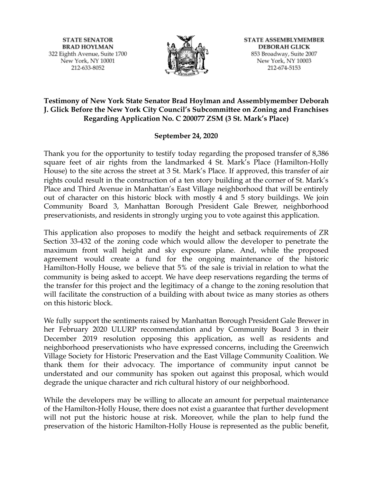**STATE SENATOR BRAD HOYLMAN** 322 Eighth Avenue, Suite 1700 New York, NY 10001 212-633-8052



**STATE ASSEMBLYMEMBER DEBORAH GLICK** 853 Broadway, Suite 2007 New York, NY 10003 212-674-5153

# **Testimony of New York State Senator Brad Hoylman and Assemblymember Deborah J. Glick Before the New York City Council's Subcommittee on Zoning and Franchises Regarding Application No. C 200077 ZSM (3 St. Mark's Place)**

## **September 24, 2020**

Thank you for the opportunity to testify today regarding the proposed transfer of 8,386 square feet of air rights from the landmarked 4 St. Mark's Place (Hamilton-Holly House) to the site across the street at 3 St. Mark's Place. If approved, this transfer of air rights could result in the construction of a ten story building at the corner of St. Mark's Place and Third Avenue in Manhattan's East Village neighborhood that will be entirely out of character on this historic block with mostly 4 and 5 story buildings. We join Community Board 3, Manhattan Borough President Gale Brewer, neighborhood preservationists, and residents in strongly urging you to vote against this application.

This application also proposes to modify the height and setback requirements of ZR Section 33-432 of the zoning code which would allow the developer to penetrate the maximum front wall height and sky exposure plane. And, while the proposed agreement would create a fund for the ongoing maintenance of the historic Hamilton-Holly House, we believe that 5% of the sale is trivial in relation to what the community is being asked to accept. We have deep reservations regarding the terms of the transfer for this project and the legitimacy of a change to the zoning resolution that will facilitate the construction of a building with about twice as many stories as others on this historic block.

We fully support the sentiments raised by Manhattan Borough President Gale Brewer in her February 2020 ULURP recommendation and by Community Board 3 in their December 2019 resolution opposing this application, as well as residents and neighborhood preservationists who have expressed concerns, including the Greenwich Village Society for Historic Preservation and the East Village Community Coalition. We thank them for their advocacy. The importance of community input cannot be understated and our community has spoken out against this proposal, which would degrade the unique character and rich cultural history of our neighborhood.

While the developers may be willing to allocate an amount for perpetual maintenance of the Hamilton-Holly House, there does not exist a guarantee that further development will not put the historic house at risk. Moreover, while the plan to help fund the preservation of the historic Hamilton-Holly House is represented as the public benefit,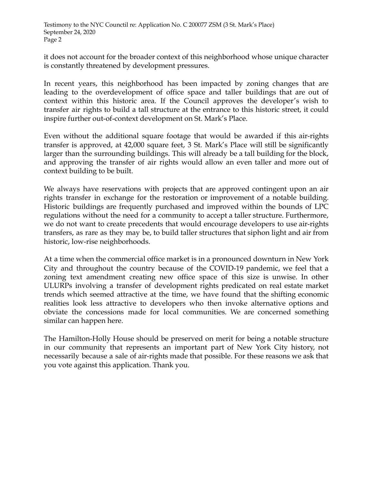it does not account for the broader context of this neighborhood whose unique character is constantly threatened by development pressures.

In recent years, this neighborhood has been impacted by zoning changes that are leading to the overdevelopment of office space and taller buildings that are out of context within this historic area. If the Council approves the developer's wish to transfer air rights to build a tall structure at the entrance to this historic street, it could inspire further out-of-context development on St. Mark's Place.

Even without the additional square footage that would be awarded if this air-rights transfer is approved, at 42,000 square feet, 3 St. Mark's Place will still be significantly larger than the surrounding buildings. This will already be a tall building for the block, and approving the transfer of air rights would allow an even taller and more out of context building to be built.

We always have reservations with projects that are approved contingent upon an air rights transfer in exchange for the restoration or improvement of a notable building. Historic buildings are frequently purchased and improved within the bounds of LPC regulations without the need for a community to accept a taller structure. Furthermore, we do not want to create precedents that would encourage developers to use air-rights transfers, as rare as they may be, to build taller structures that siphon light and air from historic, low-rise neighborhoods.

At a time when the commercial office market is in a pronounced downturn in New York City and throughout the country because of the COVID-19 pandemic, we feel that a zoning text amendment creating new office space of this size is unwise. In other ULURPs involving a transfer of development rights predicated on real estate market trends which seemed attractive at the time, we have found that the shifting economic realities look less attractive to developers who then invoke alternative options and obviate the concessions made for local communities. We are concerned something similar can happen here.

The Hamilton-Holly House should be preserved on merit for being a notable structure in our community that represents an important part of New York City history, not necessarily because a sale of air-rights made that possible. For these reasons we ask that you vote against this application. Thank you.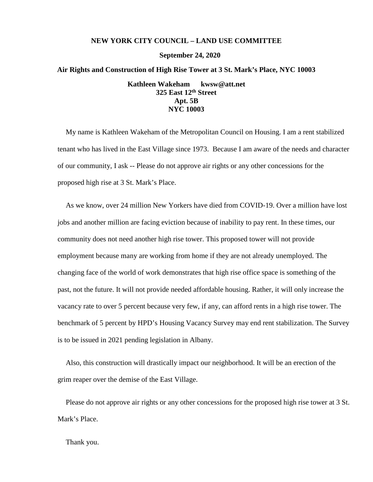### **NEW YORK CITY COUNCIL – LAND USE COMMITTEE**

**September 24, 2020**

#### **Air Rights and Construction of High Rise Tower at 3 St. Mark's Place, NYC 10003**

**Kathleen Wakeham kwsw@att.net 325 East 12th Street Apt. 5B NYC 10003**

My name is Kathleen Wakeham of the Metropolitan Council on Housing. I am a rent stabilized tenant who has lived in the East Village since 1973. Because I am aware of the needs and character of our community, I ask -- Please do not approve air rights or any other concessions for the proposed high rise at 3 St. Mark's Place.

As we know, over 24 million New Yorkers have died from COVID-19. Over a million have lost jobs and another million are facing eviction because of inability to pay rent. In these times, our community does not need another high rise tower. This proposed tower will not provide employment because many are working from home if they are not already unemployed. The changing face of the world of work demonstrates that high rise office space is something of the past, not the future. It will not provide needed affordable housing. Rather, it will only increase the vacancy rate to over 5 percent because very few, if any, can afford rents in a high rise tower. The benchmark of 5 percent by HPD's Housing Vacancy Survey may end rent stabilization. The Survey is to be issued in 2021 pending legislation in Albany.

Also, this construction will drastically impact our neighborhood. It will be an erection of the grim reaper over the demise of the East Village.

Please do not approve air rights or any other concessions for the proposed high rise tower at 3 St. Mark's Place.

Thank you.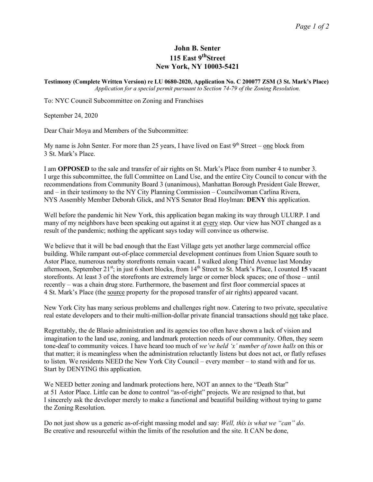### **John B. Senter 115 East 9thStreet New York, NY 10003-5421**

**Testimony (Complete Written Version) re LU 0680-2020, Application No. C 200077 ZSM (3 St. Mark's Place)** *Application for a special permit pursuant to Section 74-79 of the Zoning Resolution.*

To: NYC Council Subcommittee on Zoning and Franchises

September 24, 2020

Dear Chair Moya and Members of the Subcommittee:

My name is John Senter. For more than 25 years, I have lived on East  $9<sup>th</sup>$  Street – one block from 3 St. Mark's Place.

I am **OPPOSED** to the sale and transfer of air rights on St. Mark's Place from number 4 to number 3. I urge this subcommittee, the full Committee on Land Use, and the entire City Council to concur with the recommendations from Community Board 3 (unanimous), Manhattan Borough President Gale Brewer, and – in their testimony to the NY City Planning Commission – Councilwoman Carlina Rivera, NYS Assembly Member Deborah Glick, and NYS Senator Brad Hoylman: **DENY** this application.

Well before the pandemic hit New York, this application began making its way through ULURP. I and many of my neighbors have been speaking out against it at every step. Our view has NOT changed as a result of the pandemic; nothing the applicant says today will convince us otherwise.

We believe that it will be bad enough that the East Village gets yet another large commercial office building. While rampant out-of-place commercial development continues from Union Square south to Astor Place, numerous nearby storefronts remain vacant. I walked along Third Avenue last Monday afternoon, September 21<sup>st</sup>; in just 6 short blocks, from 14<sup>th</sup> Street to St. Mark's Place, I counted 15 vacant storefronts. At least 3 of the storefronts are extremely large or corner block spaces; one of those – until recently – was a chain drug store. Furthermore, the basement and first floor commercial spaces at 4 St. Mark's Place (the source property for the proposed transfer of air rights) appeared vacant.

New York City has many serious problems and challenges right now. Catering to two private, speculative real estate developers and to their multi-million-dollar private financial transactions should not take place.

Regrettably, the de Blasio administration and its agencies too often have shown a lack of vision and imagination to the land use, zoning, and landmark protection needs of our community. Often, they seem tone-deaf to community voices. I have heard too much of *we've held 'x' number of town halls* on this or that matter; it is meaningless when the administration reluctantly listens but does not act, or flatly refuses to listen. We residents NEED the New York City Council – every member – to stand with and for us. Start by DENYING this application.

We NEED better zoning and landmark protections here, NOT an annex to the "Death Star" at 51 Astor Place. Little can be done to control "as-of-right" projects. We are resigned to that, but I sincerely ask the developer merely to make a functional and beautiful building without trying to game the Zoning Resolution.

Do not just show us a generic as-of-right massing model and say: *Well, this is what we "can" do*. Be creative and resourceful within the limits of the resolution and the site. It CAN be done,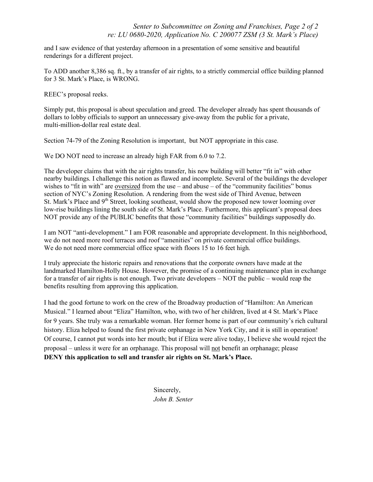and I saw evidence of that yesterday afternoon in a presentation of some sensitive and beautiful renderings for a different project.

To ADD another 8,386 sq. ft., by a transfer of air rights, to a strictly commercial office building planned for 3 St. Mark's Place, is WRONG.

REEC's proposal reeks.

Simply put, this proposal is about speculation and greed. The developer already has spent thousands of dollars to lobby officials to support an unnecessary give-away from the public for a private, multi-million-dollar real estate deal.

Section 74-79 of the Zoning Resolution is important, but NOT appropriate in this case.

We DO NOT need to increase an already high FAR from 6.0 to 7.2.

The developer claims that with the air rights transfer, his new building will better "fit in" with other nearby buildings. I challenge this notion as flawed and incomplete. Several of the buildings the developer wishes to "fit in with" are oversized from the use – and abuse – of the "community facilities" bonus section of NYC's Zoning Resolution. A rendering from the west side of Third Avenue, between St. Mark's Place and 9<sup>th</sup> Street, looking southeast, would show the proposed new tower looming over low-rise buildings lining the south side of St. Mark's Place. Furthermore, this applicant's proposal does NOT provide any of the PUBLIC benefits that those "community facilities" buildings supposedly do.

I am NOT "anti-development." I am FOR reasonable and appropriate development. In this neighborhood, we do not need more roof terraces and roof "amenities" on private commercial office buildings. We do not need more commercial office space with floors 15 to 16 feet high.

I truly appreciate the historic repairs and renovations that the corporate owners have made at the landmarked Hamilton-Holly House. However, the promise of a continuing maintenance plan in exchange for a transfer of air rights is not enough. Two private developers – NOT the public – would reap the benefits resulting from approving this application.

I had the good fortune to work on the crew of the Broadway production of "Hamilton: An American Musical." I learned about "Eliza" Hamilton, who, with two of her children, lived at 4 St. Mark's Place for 9 years. She truly was a remarkable woman. Her former home is part of our community's rich cultural history. Eliza helped to found the first private orphanage in New York City, and it is still in operation! Of course, I cannot put words into her mouth; but if Eliza were alive today, I believe she would reject the proposal – unless it were for an orphanage. This proposal will not benefit an orphanage; please **DENY this application to sell and transfer air rights on St. Mark's Place.**

> Sincerely, *John B. Senter*